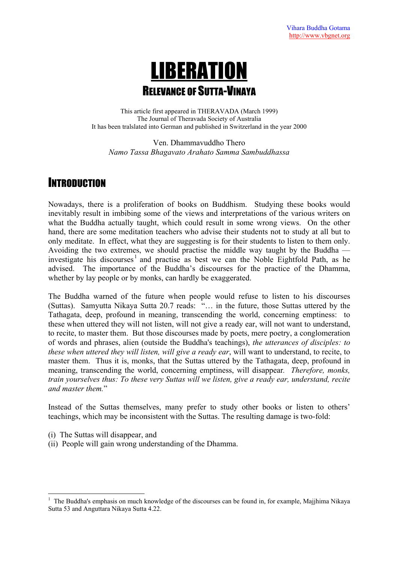# LIBERATION RELEVANCE OF SUTTA-VINAYA

 This article first appeared in THERAVADA (March 1999) The Journal of Theravada Society of Australia It has been tralslated into German and published in Switzerland in the year 2000

Ven. Dhammavuddho Thero *Namo Tassa Bhagavato Arahato Samma Sambuddhassa* 

### **INTRODUCTION**

Nowadays, there is a proliferation of books on Buddhism. Studying these books would inevitably result in imbibing some of the views and interpretations of the various writers on what the Buddha actually taught, which could result in some wrong views. On the other hand, there are some meditation teachers who advise their students not to study at all but to only meditate. In effect, what they are suggesting is for their students to listen to them only. Avoiding the two extremes, we should practise the middle way taught by the Buddha — investigate his discourses<sup>[1](#page-0-0)</sup> and practise as best we can the Noble Eightfold Path, as he advised. The importance of the Buddha's discourses for the practice of the Dhamma, whether by lay people or by monks, can hardly be exaggerated.

The Buddha warned of the future when people would refuse to listen to his discourses (Suttas). Samyutta Nikaya Sutta 20.7 reads: "… in the future, those Suttas uttered by the Tathagata, deep, profound in meaning, transcending the world, concerning emptiness: to these when uttered they will not listen, will not give a ready ear, will not want to understand, to recite, to master them. But those discourses made by poets, mere poetry, a conglomeration of words and phrases, alien (outside the Buddha's teachings), *the utterances of disciples: to these when uttered they will listen, will give a ready ear*, will want to understand, to recite, to master them. Thus it is, monks, that the Suttas uttered by the Tathagata, deep, profound in meaning, transcending the world, concerning emptiness, will disappear*. Therefore, monks, train yourselves thus: To these very Suttas will we listen, give a ready ear, understand, recite and master them.*"

Instead of the Suttas themselves, many prefer to study other books or listen to others' teachings, which may be inconsistent with the Suttas. The resulting damage is two-fold:

(i) The Suttas will disappear, and

 $\overline{a}$ 

(ii) People will gain wrong understanding of the Dhamma.

<span id="page-0-0"></span><sup>&</sup>lt;sup>1</sup> The Buddha's emphasis on much knowledge of the discourses can be found in, for example, Majjhima Nikaya Sutta 53 and Anguttara Nikaya Sutta 4.22.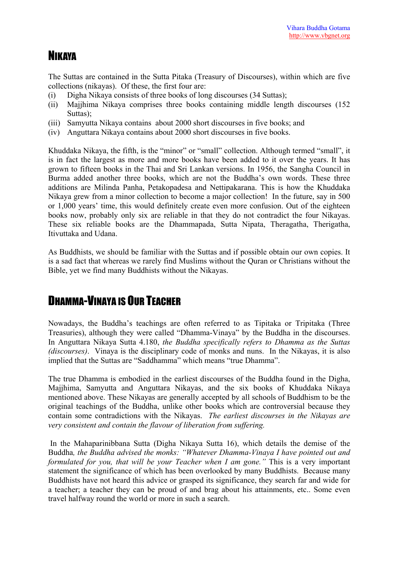### NIKAYA

The Suttas are contained in the Sutta Pitaka (Treasury of Discourses), within which are five collections (nikayas). Of these, the first four are:

- (i) Digha Nikaya consists of three books of long discourses (34 Suttas);
- (ii) Majjhima Nikaya comprises three books containing middle length discourses (152 Suttas);
- (iii) Samyutta Nikaya contains about 2000 short discourses in five books; and
- (iv) Anguttara Nikaya contains about 2000 short discourses in five books.

Khuddaka Nikaya, the fifth, is the "minor" or "small" collection. Although termed "small", it is in fact the largest as more and more books have been added to it over the years. It has grown to fifteen books in the Thai and Sri Lankan versions. In 1956, the Sangha Council in Burma added another three books, which are not the Buddha's own words. These three additions are Milinda Panha, Petakopadesa and Nettipakarana. This is how the Khuddaka Nikaya grew from a minor collection to become a major collection! In the future, say in 500 or 1,000 years' time, this would definitely create even more confusion. Out of the eighteen books now, probably only six are reliable in that they do not contradict the four Nikayas. These six reliable books are the Dhammapada, Sutta Nipata, Theragatha, Therigatha, Itivuttaka and Udana.

As Buddhists, we should be familiar with the Suttas and if possible obtain our own copies. It is a sad fact that whereas we rarely find Muslims without the Quran or Christians without the Bible, yet we find many Buddhists without the Nikayas.

# DHAMMA-VINAYA IS OUR TEACHER

Nowadays, the Buddha's teachings are often referred to as Tipitaka or Tripitaka (Three Treasuries), although they were called "Dhamma-Vinaya" by the Buddha in the discourses. In Anguttara Nikaya Sutta 4.180, *the Buddha specifically refers to Dhamma as the Suttas (discourses)*. Vinaya is the disciplinary code of monks and nuns. In the Nikayas, it is also implied that the Suttas are "Saddhamma" which means "true Dhamma".

The true Dhamma is embodied in the earliest discourses of the Buddha found in the Digha, Majjhima, Samyutta and Anguttara Nikayas, and the six books of Khuddaka Nikaya mentioned above. These Nikayas are generally accepted by all schools of Buddhism to be the original teachings of the Buddha, unlike other books which are controversial because they contain some contradictions with the Nikayas. *The earliest discourses in the Nikayas are very consistent and contain the flavour of liberation from suffering.* 

 In the Mahaparinibbana Sutta (Digha Nikaya Sutta 16), which details the demise of the Buddha*, the Buddha advised the monks: "Whatever Dhamma-Vinaya I have pointed out and formulated for you, that will be your Teacher when I am gone."* This is a very important statement the significance of which has been overlooked by many Buddhists. Because many Buddhists have not heard this advice or grasped its significance, they search far and wide for a teacher; a teacher they can be proud of and brag about his attainments, etc.. Some even travel halfway round the world or more in such a search.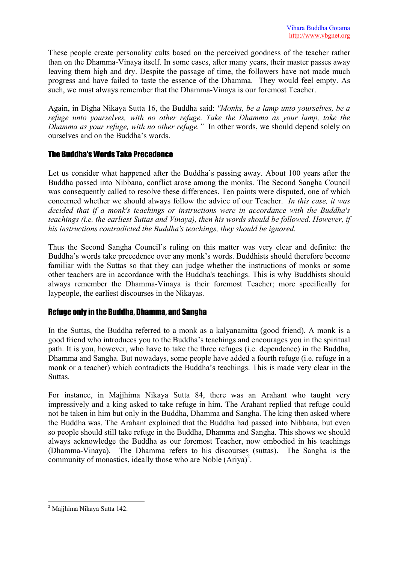These people create personality cults based on the perceived goodness of the teacher rather than on the Dhamma-Vinaya itself. In some cases, after many years, their master passes away leaving them high and dry. Despite the passage of time, the followers have not made much progress and have failed to taste the essence of the Dhamma. They would feel empty. As such, we must always remember that the Dhamma-Vinaya is our foremost Teacher.

Again, in Digha Nikaya Sutta 16, the Buddha said: *"Monks, be a lamp unto yourselves, be a refuge unto yourselves, with no other refuge. Take the Dhamma as your lamp, take the Dhamma as your refuge, with no other refuge."* In other words, we should depend solely on ourselves and on the Buddha's words.

### The Buddha's Words Take Precedence

Let us consider what happened after the Buddha's passing away. About 100 years after the Buddha passed into Nibbana, conflict arose among the monks. The Second Sangha Council was consequently called to resolve these differences. Ten points were disputed, one of which concerned whether we should always follow the advice of our Teacher. *In this case, it was decided that if a monk's teachings or instructions were in accordance with the Buddha's teachings (i.e. the earliest Suttas and Vinaya), then his words should be followed. However, if his instructions contradicted the Buddha's teachings, they should be ignored.* 

Thus the Second Sangha Council's ruling on this matter was very clear and definite: the Buddha's words take precedence over any monk's words. Buddhists should therefore become familiar with the Suttas so that they can judge whether the instructions of monks or some other teachers are in accordance with the Buddha's teachings. This is why Buddhists should always remember the Dhamma-Vinaya is their foremost Teacher; more specifically for laypeople, the earliest discourses in the Nikayas.

### Refuge only in the Buddha, Dhamma, and Sangha

In the Suttas, the Buddha referred to a monk as a kalyanamitta (good friend). A monk is a good friend who introduces you to the Buddha's teachings and encourages you in the spiritual path. It is you, however, who have to take the three refuges (i.e. dependence) in the Buddha, Dhamma and Sangha. But nowadays, some people have added a fourth refuge (i.e. refuge in a monk or a teacher) which contradicts the Buddha's teachings. This is made very clear in the Suttas.

For instance, in Majjhima Nikaya Sutta 84, there was an Arahant who taught very impressively and a king asked to take refuge in him. The Arahant replied that refuge could not be taken in him but only in the Buddha, Dhamma and Sangha. The king then asked where the Buddha was. The Arahant explained that the Buddha had passed into Nibbana, but even so people should still take refuge in the Buddha, Dhamma and Sangha. This shows we should always acknowledge the Buddha as our foremost Teacher, now embodied in his teachings (Dhamma-Vinaya). The Dhamma refers to his discourses (suttas). The Sangha is the community of monastics, ideally those who are Noble  $(Ariya)^2$  $(Ariya)^2$ .

 $\overline{a}$ 

<span id="page-2-0"></span><sup>&</sup>lt;sup>2</sup> Majjhima Nikaya Sutta 142.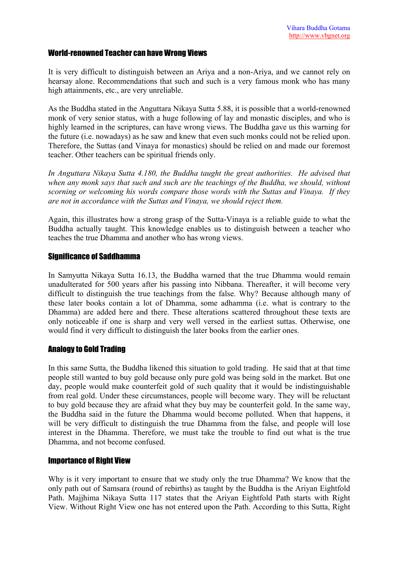#### World-renowned Teacher can have Wrong Views

It is very difficult to distinguish between an Ariya and a non-Ariya, and we cannot rely on hearsay alone. Recommendations that such and such is a very famous monk who has many high attainments, etc., are very unreliable.

As the Buddha stated in the Anguttara Nikaya Sutta 5.88, it is possible that a world-renowned monk of very senior status, with a huge following of lay and monastic disciples, and who is highly learned in the scriptures, can have wrong views. The Buddha gave us this warning for the future (i.e. nowadays) as he saw and knew that even such monks could not be relied upon. Therefore, the Suttas (and Vinaya for monastics) should be relied on and made our foremost teacher. Other teachers can be spiritual friends only.

*In Anguttara Nikaya Sutta 4.180, the Buddha taught the great authorities. He advised that when any monk says that such and such are the teachings of the Buddha, we should, without scorning or welcoming his words compare those words with the Suttas and Vinaya. If they are not in accordance with the Suttas and Vinaya, we should reject them.* 

Again, this illustrates how a strong grasp of the Sutta-Vinaya is a reliable guide to what the Buddha actually taught. This knowledge enables us to distinguish between a teacher who teaches the true Dhamma and another who has wrong views.

#### Significance of Saddhamma

In Samyutta Nikaya Sutta 16.13, the Buddha warned that the true Dhamma would remain unadulterated for 500 years after his passing into Nibbana. Thereafter, it will become very difficult to distinguish the true teachings from the false. Why? Because although many of these later books contain a lot of Dhamma, some adhamma (i.e. what is contrary to the Dhamma) are added here and there. These alterations scattered throughout these texts are only noticeable if one is sharp and very well versed in the earliest suttas. Otherwise, one would find it very difficult to distinguish the later books from the earlier ones.

### Analogy to Gold Trading

In this same Sutta, the Buddha likened this situation to gold trading. He said that at that time people still wanted to buy gold because only pure gold was being sold in the market. But one day, people would make counterfeit gold of such quality that it would be indistinguishable from real gold. Under these circumstances, people will become wary. They will be reluctant to buy gold because they are afraid what they buy may be counterfeit gold. In the same way, the Buddha said in the future the Dhamma would become polluted. When that happens, it will be very difficult to distinguish the true Dhamma from the false, and people will lose interest in the Dhamma. Therefore, we must take the trouble to find out what is the true Dhamma, and not become confused.

#### Importance of Right View

Why is it very important to ensure that we study only the true Dhamma? We know that the only path out of Samsara (round of rebirths) as taught by the Buddha is the Ariyan Eightfold Path. Majjhima Nikaya Sutta 117 states that the Ariyan Eightfold Path starts with Right View. Without Right View one has not entered upon the Path. According to this Sutta, Right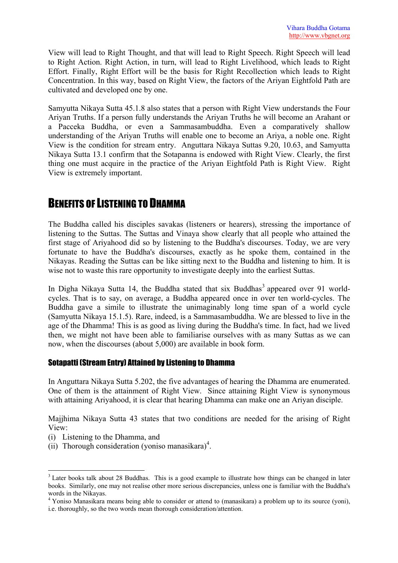View will lead to Right Thought, and that will lead to Right Speech. Right Speech will lead to Right Action. Right Action, in turn, will lead to Right Livelihood, which leads to Right Effort. Finally, Right Effort will be the basis for Right Recollection which leads to Right Concentration. In this way, based on Right View, the factors of the Ariyan Eightfold Path are cultivated and developed one by one.

Samyutta Nikaya Sutta 45.1.8 also states that a person with Right View understands the Four Ariyan Truths. If a person fully understands the Ariyan Truths he will become an Arahant or a Pacceka Buddha, or even a Sammasambuddha. Even a comparatively shallow understanding of the Ariyan Truths will enable one to become an Ariya, a noble one. Right View is the condition for stream entry. Anguttara Nikaya Suttas 9.20, 10.63, and Samyutta Nikaya Sutta 13.1 confirm that the Sotapanna is endowed with Right View. Clearly, the first thing one must acquire in the practice of the Ariyan Eightfold Path is Right View. Right View is extremely important.

### BENEFITS OF LISTENING TO DHAMMA

The Buddha called his disciples savakas (listeners or hearers), stressing the importance of listening to the Suttas. The Suttas and Vinaya show clearly that all people who attained the first stage of Ariyahood did so by listening to the Buddha's discourses. Today, we are very fortunate to have the Buddha's discourses, exactly as he spoke them, contained in the Nikayas. Reading the Suttas can be like sitting next to the Buddha and listening to him. It is wise not to waste this rare opportunity to investigate deeply into the earliest Suttas.

In Digha Nikaya Sutta 14, the Buddha stated that six Buddhas<sup>3</sup> [a](#page-4-0)ppeared over 91 worldcycles. That is to say, on average, a Buddha appeared once in over ten world-cycles. The Buddha gave a simile to illustrate the unimaginably long time span of a world cycle (Samyutta Nikaya 15.1.5). Rare, indeed, is a Sammasambuddha. We are blessed to live in the age of the Dhamma! This is as good as living during the Buddha's time. In fact, had we lived then, we might not have been able to familiarise ourselves with as many Suttas as we can now, when the discourses (about 5,000) are available in book form.

### Sotapatti (Stream Entry) Attained by Listening to Dhamma

In Anguttara Nikaya Sutta 5.202, the five advantages of hearing the Dhamma are enumerated. One of them is the attainment of Right View. Since attaining Right View is synonymous with attaining Ariyahood, it is clear that hearing Dhamma can make one an Ariyan disciple.

Majjhima Nikaya Sutta 43 states that two conditions are needed for the arising of Right View:

(i) Listening to the Dhamma, and

 $\overline{a}$ 

 $(iii)$  Thorough consideration (yoniso manasikara)<sup>[4](#page-4-1)</sup>.

<span id="page-4-0"></span><sup>&</sup>lt;sup>3</sup> Later books talk about 28 Buddhas. This is a good example to illustrate how things can be changed in later books. Similarly, one may not realise other more serious discrepancies, unless one is familiar with the Buddha's words in the Nikayas.

<span id="page-4-1"></span><sup>&</sup>lt;sup>4</sup> Yoniso Manasikara means being able to consider or attend to (manasikara) a problem up to its source (yoni), i.e. thoroughly, so the two words mean thorough consideration/attention.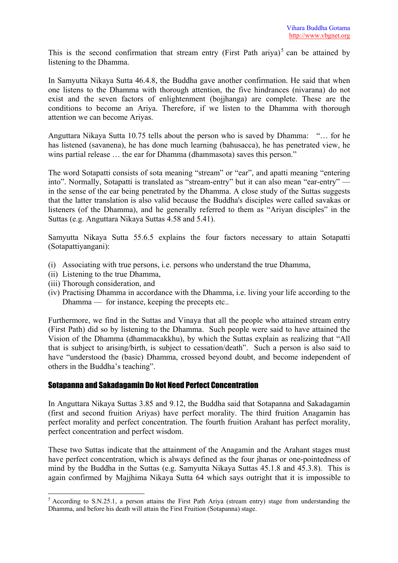This is the second confirmation that stream entry (First Path ariya)<sup>[5](#page-5-0)</sup> can be attained by listening to the Dhamma.

In Samyutta Nikaya Sutta 46.4.8, the Buddha gave another confirmation. He said that when one listens to the Dhamma with thorough attention, the five hindrances (nivarana) do not exist and the seven factors of enlightenment (bojjhanga) are complete. These are the conditions to become an Ariya. Therefore, if we listen to the Dhamma with thorough attention we can become Ariyas.

Anguttara Nikaya Sutta 10.75 tells about the person who is saved by Dhamma: "… for he has listened (savanena), he has done much learning (bahusacca), he has penetrated view, he wins partial release ... the ear for Dhamma (dhammasota) saves this person."

The word Sotapatti consists of sota meaning "stream" or "ear", and apatti meaning "entering into". Normally, Sotapatti is translated as "stream-entry" but it can also mean "ear-entry" in the sense of the ear being penetrated by the Dhamma. A close study of the Suttas suggests that the latter translation is also valid because the Buddha's disciples were called savakas or listeners (of the Dhamma), and he generally referred to them as "Ariyan disciples" in the Suttas (e.g. Anguttara Nikaya Suttas 4.58 and 5.41).

Samyutta Nikaya Sutta 55.6.5 explains the four factors necessary to attain Sotapatti (Sotapattiyangani):

- (i) Associating with true persons, i.e. persons who understand the true Dhamma,
- (ii) Listening to the true Dhamma,
- (iii) Thorough consideration, and

 $\overline{a}$ 

(iv) Practising Dhamma in accordance with the Dhamma, i.e. living your life according to the Dhamma — for instance, keeping the precepts etc..

Furthermore, we find in the Suttas and Vinaya that all the people who attained stream entry (First Path) did so by listening to the Dhamma. Such people were said to have attained the Vision of the Dhamma (dhammacakkhu), by which the Suttas explain as realizing that "All that is subject to arising/birth, is subject to cessation/death". Such a person is also said to have "understood the (basic) Dhamma, crossed beyond doubt, and become independent of others in the Buddha's teaching".

### Sotapanna and Sakadagamin Do Not Need Perfect Concentration

In Anguttara Nikaya Suttas 3.85 and 9.12, the Buddha said that Sotapanna and Sakadagamin (first and second fruition Ariyas) have perfect morality. The third fruition Anagamin has perfect morality and perfect concentration. The fourth fruition Arahant has perfect morality, perfect concentration and perfect wisdom.

These two Suttas indicate that the attainment of the Anagamin and the Arahant stages must have perfect concentration, which is always defined as the four jhanas or one-pointedness of mind by the Buddha in the Suttas (e.g. Samyutta Nikaya Suttas 45.1.8 and 45.3.8). This is again confirmed by Majjhima Nikaya Sutta 64 which says outright that it is impossible to

<span id="page-5-0"></span> $<sup>5</sup>$  According to S.N.25.1, a person attains the First Path Ariya (stream entry) stage from understanding the</sup> Dhamma, and before his death will attain the First Fruition (Sotapanna) stage.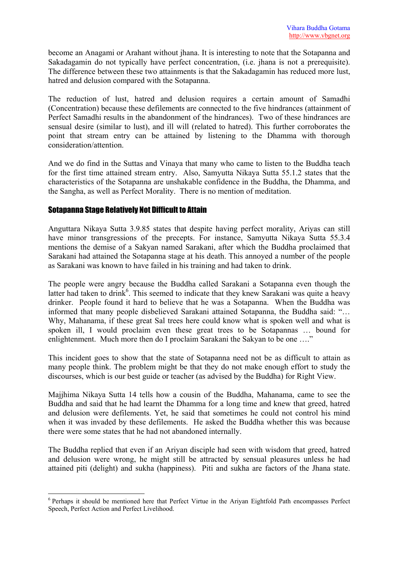become an Anagami or Arahant without jhana. It is interesting to note that the Sotapanna and Sakadagamin do not typically have perfect concentration, (i.e. jhana is not a prerequisite). The difference between these two attainments is that the Sakadagamin has reduced more lust, hatred and delusion compared with the Sotapanna.

The reduction of lust, hatred and delusion requires a certain amount of Samadhi (Concentration) because these defilements are connected to the five hindrances (attainment of Perfect Samadhi results in the abandonment of the hindrances). Two of these hindrances are sensual desire (similar to lust), and ill will (related to hatred). This further corroborates the point that stream entry can be attained by listening to the Dhamma with thorough consideration/attention.

And we do find in the Suttas and Vinaya that many who came to listen to the Buddha teach for the first time attained stream entry. Also, Samyutta Nikaya Sutta 55.1.2 states that the characteristics of the Sotapanna are unshakable confidence in the Buddha, the Dhamma, and the Sangha, as well as Perfect Morality. There is no mention of meditation.

### Sotapanna Stage Relatively Not Difficult to Attain

Anguttara Nikaya Sutta 3.9.85 states that despite having perfect morality, Ariyas can still have minor transgressions of the precepts. For instance, Samyutta Nikaya Sutta 55.3.4 mentions the demise of a Sakyan named Sarakani, after which the Buddha proclaimed that Sarakani had attained the Sotapanna stage at his death. This annoyed a number of the people as Sarakani was known to have failed in his training and had taken to drink.

The people were angry because the Buddha called Sarakani a Sotapanna even though the latter had taken to drink<sup>6</sup>. This seemed to indicate that they knew Sarakani was quite a heavy drinker. People found it hard to believe that he was a Sotapanna. When the Buddha was informed that many people disbelieved Sarakani attained Sotapanna, the Buddha said: "… Why, Mahanama, if these great Sal trees here could know what is spoken well and what is spoken ill, I would proclaim even these great trees to be Sotapannas … bound for enlightenment. Much more then do I proclaim Sarakani the Sakyan to be one ...."

This incident goes to show that the state of Sotapanna need not be as difficult to attain as many people think. The problem might be that they do not make enough effort to study the discourses, which is our best guide or teacher (as advised by the Buddha) for Right View.

Majjhima Nikaya Sutta 14 tells how a cousin of the Buddha, Mahanama, came to see the Buddha and said that he had learnt the Dhamma for a long time and knew that greed, hatred and delusion were defilements. Yet, he said that sometimes he could not control his mind when it was invaded by these defilements. He asked the Buddha whether this was because there were some states that he had not abandoned internally.

The Buddha replied that even if an Ariyan disciple had seen with wisdom that greed, hatred and delusion were wrong, he might still be attracted by sensual pleasures unless he had attained piti (delight) and sukha (happiness). Piti and sukha are factors of the Jhana state.

<span id="page-6-0"></span> $\overline{a}$ <sup>6</sup> Perhaps it should be mentioned here that Perfect Virtue in the Ariyan Eightfold Path encompasses Perfect Speech, Perfect Action and Perfect Livelihood.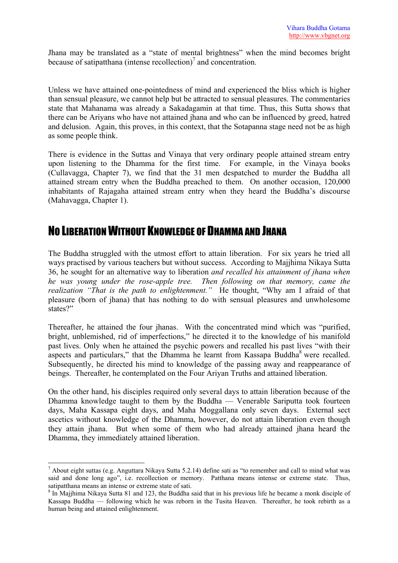Jhana may be translated as a "state of mental brightness" when the mind becomes bright because of satipatthana (intense recollection)<sup>[7](#page-7-0)</sup> and concentration.

Unless we have attained one-pointedness of mind and experienced the bliss which is higher than sensual pleasure, we cannot help but be attracted to sensual pleasures. The commentaries state that Mahanama was already a Sakadagamin at that time. Thus, this Sutta shows that there can be Ariyans who have not attained jhana and who can be influenced by greed, hatred and delusion. Again, this proves, in this context, that the Sotapanna stage need not be as high as some people think.

There is evidence in the Suttas and Vinaya that very ordinary people attained stream entry upon listening to the Dhamma for the first time. For example, in the Vinaya books (Cullavagga, Chapter 7), we find that the 31 men despatched to murder the Buddha all attained stream entry when the Buddha preached to them. On another occasion, 120,000 inhabitants of Rajagaha attained stream entry when they heard the Buddha's discourse (Mahavagga, Chapter 1).

### NO LIBERATION WITHOUT KNOWLEDGE OF DHAMMA AND JHANA

The Buddha struggled with the utmost effort to attain liberation. For six years he tried all ways practised by various teachers but without success. According to Majjhima Nikaya Sutta 36, he sought for an alternative way to liberation *and recalled his attainment of jhana when he was young under the rose-apple tree. Then following on that memory, came the realization "That is the path to enlightenment."* He thought, "Why am I afraid of that pleasure (born of jhana) that has nothing to do with sensual pleasures and unwholesome states?"

Thereafter, he attained the four jhanas. With the concentrated mind which was "purified, bright, unblemished, rid of imperfections," he directed it to the knowledge of his manifold past lives. Only when he attained the psychic powers and recalled his past lives "with their aspects and particulars," that the Dhamma he learnt from Kassapa Buddha<sup>[8](#page-7-1)</sup> were recalled. Subsequently, he directed his mind to knowledge of the passing away and reappearance of beings. Thereafter, he contemplated on the Four Ariyan Truths and attained liberation.

On the other hand, his disciples required only several days to attain liberation because of the Dhamma knowledge taught to them by the Buddha — Venerable Sariputta took fourteen days, Maha Kassapa eight days, and Maha Moggallana only seven days. External sect ascetics without knowledge of the Dhamma, however, do not attain liberation even though they attain jhana. But when some of them who had already attained jhana heard the Dhamma, they immediately attained liberation.

 $\overline{a}$ 

<span id="page-7-0"></span> $^7$  About eight suttas (e.g. Anguttara Nikaya Sutta 5.2.14) define sati as "to remember and call to mind what was said and done long ago", i.e. recollection or memory. Patthana means intense or extreme state. Thus, satipatthana means an intense or extreme state of sati.

<span id="page-7-1"></span> $8 \text{ In }$  Majjhima Nikaya Sutta 81 and 123, the Buddha said that in his previous life he became a monk disciple of Kassapa Buddha — following which he was reborn in the Tusita Heaven. Thereafter, he took rebirth as a human being and attained enlightenment.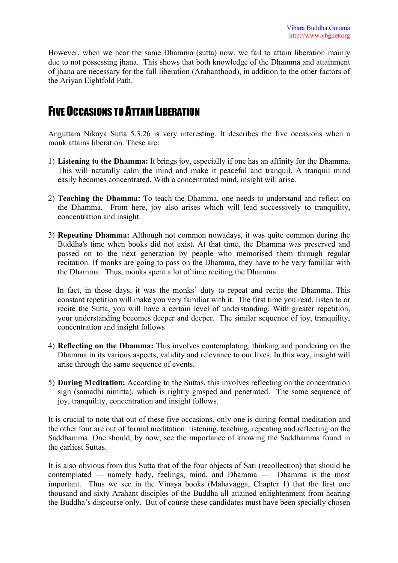However, when we hear the same Dhamma (sutta) now, we fail to attain liberation mainly due to not possessing jhana. This shows that both knowledge of the Dhamma and attainment of jhana are necessary for the full liberation (Arahanthood), in addition to the other factors of the Ariyan Eightfold Path.

### FIVE OCCASIONS TO ATTAIN LIBERATION

Anguttara Nikaya Sutta 5.3.26 is very interesting. It describes the five occasions when a monk attains liberation. These are:

- 1) **Listening to the Dhamma:** It brings joy, especially if one has an affinity for the Dhamma. This will naturally calm the mind and make it peaceful and tranquil. A tranquil mind easily becomes concentrated. With a concentrated mind, insight will arise.
- 2) **Teaching the Dhamma:** To teach the Dhamma, one needs to understand and reflect on the Dhamma. From here, joy also arises which will lead successively to tranquility, concentration and insight.
- 3) **Repeating Dhamma:** Although not common nowadays, it was quite common during the Buddha's time when books did not exist. At that time, the Dhamma was preserved and passed on to the next generation by people who memorised them through regular recitation. If monks are going to pass on the Dhamma, they have to be very familiar with the Dhamma. Thus, monks spent a lot of time reciting the Dhamma.

In fact, in those days, it was the monks' duty to repeat and recite the Dhamma. This constant repetition will make you very familiar with it. The first time you read, listen to or recite the Sutta, you will have a certain level of understanding. With greater repetition, your understanding becomes deeper and deeper. The similar sequence of joy, tranquility, concentration and insight follows.

- 4) **Reflecting on the Dhamma:** This involves contemplating, thinking and pondering on the Dhamma in its various aspects, validity and relevance to our lives. In this way, insight will arise through the same sequence of events.
- 5) **During Meditation:** According to the Suttas, this involves reflecting on the concentration sign (samadhi nimitta), which is rightly grasped and penetrated. The same sequence of joy, tranquility, concentration and insight follows.

It is crucial to note that out of these five occasions, only one is during formal meditation and the other four are out of formal meditation: listening, teaching, repeating and reflecting on the Saddhamma. One should, by now, see the importance of knowing the Saddhamma found in the earliest Suttas.

It is also obvious from this Sutta that of the four objects of Sati (recollection) that should be contemplated — namely body, feelings, mind, and Dhamma — Dhamma is the most important. Thus we see in the Vinaya books (Mahavagga, Chapter 1) that the first one thousand and sixty Arahant disciples of the Buddha all attained enlightenment from hearing the Buddha's discourse only. But of course these candidates must have been specially chosen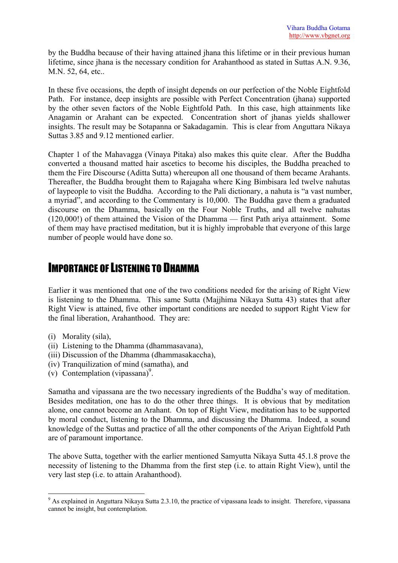by the Buddha because of their having attained jhana this lifetime or in their previous human lifetime, since jhana is the necessary condition for Arahanthood as stated in Suttas A.N. 9.36, M.N. 52, 64, etc..

In these five occasions, the depth of insight depends on our perfection of the Noble Eightfold Path. For instance, deep insights are possible with Perfect Concentration (jhana) supported by the other seven factors of the Noble Eightfold Path. In this case, high attainments like Anagamin or Arahant can be expected. Concentration short of jhanas yields shallower insights. The result may be Sotapanna or Sakadagamin. This is clear from Anguttara Nikaya Suttas 3.85 and 9.12 mentioned earlier.

Chapter 1 of the Mahavagga (Vinaya Pitaka) also makes this quite clear. After the Buddha converted a thousand matted hair ascetics to become his disciples, the Buddha preached to them the Fire Discourse (Aditta Sutta) whereupon all one thousand of them became Arahants. Thereafter, the Buddha brought them to Rajagaha where King Bimbisara led twelve nahutas of laypeople to visit the Buddha. According to the Pali dictionary, a nahuta is "a vast number, a myriad", and according to the Commentary is 10,000. The Buddha gave them a graduated discourse on the Dhamma, basically on the Four Noble Truths, and all twelve nahutas (120,000!) of them attained the Vision of the Dhamma — first Path ariya attainment. Some of them may have practised meditation, but it is highly improbable that everyone of this large number of people would have done so.

### IMPORTANCE OF LISTENING TO DHAMMA

Earlier it was mentioned that one of the two conditions needed for the arising of Right View is listening to the Dhamma. This same Sutta (Majjhima Nikaya Sutta 43) states that after Right View is attained, five other important conditions are needed to support Right View for the final liberation, Arahanthood. They are:

- (i) Morality (sila),
- (ii) Listening to the Dhamma (dhammasavana),
- (iii) Discussion of the Dhamma (dhammasakaccha),
- (iv) Tranquilization of mind (samatha), and
- $(v)$  Contemplation (vipassana)<sup>9</sup>.

Samatha and vipassana are the two necessary ingredients of the Buddha's way of meditation. Besides meditation, one has to do the other three things. It is obvious that by meditation alone, one cannot become an Arahant. On top of Right View, meditation has to be supported by moral conduct, listening to the Dhamma, and discussing the Dhamma. Indeed, a sound knowledge of the Suttas and practice of all the other components of the Ariyan Eightfold Path are of paramount importance.

The above Sutta, together with the earlier mentioned Samyutta Nikaya Sutta 45.1.8 prove the necessity of listening to the Dhamma from the first step (i.e. to attain Right View), until the very last step (i.e. to attain Arahanthood).

<span id="page-9-0"></span> $\overline{a}$  $9$  As explained in Anguttara Nikaya Sutta 2.3.10, the practice of vipassana leads to insight. Therefore, vipassana cannot be insight, but contemplation.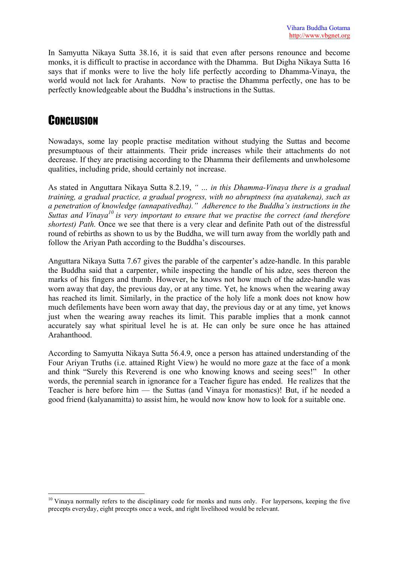In Samyutta Nikaya Sutta 38.16, it is said that even after persons renounce and become monks, it is difficult to practise in accordance with the Dhamma. But Digha Nikaya Sutta 16 says that if monks were to live the holy life perfectly according to Dhamma-Vinaya, the world would not lack for Arahants. Now to practise the Dhamma perfectly, one has to be perfectly knowledgeable about the Buddha's instructions in the Suttas.

# **CONCLUSION**

 $\overline{a}$ 

Nowadays, some lay people practise meditation without studying the Suttas and become presumptuous of their attainments. Their pride increases while their attachments do not decrease. If they are practising according to the Dhamma their defilements and unwholesome qualities, including pride, should certainly not increase.

As stated in Anguttara Nikaya Sutta 8.2.19, *" … in this Dhamma-Vinaya there is a gradual training, a gradual practice, a gradual progress, with no abruptness (na ayatakena), such as a penetration of knowledge (annapativedha)." Adherence to the Buddha's instructions in the Suttas and Vinaya[10 i](#page-10-0)s very important to ensure that we practise the correct (and therefore shortest) Path.* Once we see that there is a very clear and definite Path out of the distressful round of rebirths as shown to us by the Buddha, we will turn away from the worldly path and follow the Ariyan Path according to the Buddha's discourses.

Anguttara Nikaya Sutta 7.67 gives the parable of the carpenter's adze-handle. In this parable the Buddha said that a carpenter, while inspecting the handle of his adze, sees thereon the marks of his fingers and thumb. However, he knows not how much of the adze-handle was worn away that day, the previous day, or at any time. Yet, he knows when the wearing away has reached its limit. Similarly, in the practice of the holy life a monk does not know how much defilements have been worn away that day, the previous day or at any time, yet knows just when the wearing away reaches its limit. This parable implies that a monk cannot accurately say what spiritual level he is at. He can only be sure once he has attained Arahanthood.

According to Samyutta Nikaya Sutta 56.4.9, once a person has attained understanding of the Four Ariyan Truths (i.e. attained Right View) he would no more gaze at the face of a monk and think "Surely this Reverend is one who knowing knows and seeing sees!" In other words, the perennial search in ignorance for a Teacher figure has ended. He realizes that the Teacher is here before him — the Suttas (and Vinaya for monastics)! But, if he needed a good friend (kalyanamitta) to assist him, he would now know how to look for a suitable one.

<span id="page-10-0"></span><sup>&</sup>lt;sup>10</sup> Vinava normally refers to the disciplinary code for monks and nuns only. For laypersons, keeping the five precepts everyday, eight precepts once a week, and right livelihood would be relevant.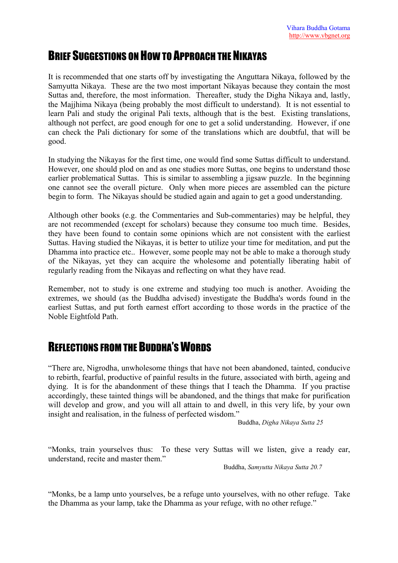# BRIEF SUGGESTIONS ON HOW TO APPROACH THE NIKAYAS

It is recommended that one starts off by investigating the Anguttara Nikaya, followed by the Samyutta Nikaya. These are the two most important Nikayas because they contain the most Suttas and, therefore, the most information. Thereafter, study the Digha Nikaya and, lastly, the Majjhima Nikaya (being probably the most difficult to understand). It is not essential to learn Pali and study the original Pali texts, although that is the best. Existing translations, although not perfect, are good enough for one to get a solid understanding. However, if one can check the Pali dictionary for some of the translations which are doubtful, that will be good.

In studying the Nikayas for the first time, one would find some Suttas difficult to understand. However, one should plod on and as one studies more Suttas, one begins to understand those earlier problematical Suttas. This is similar to assembling a jigsaw puzzle. In the beginning one cannot see the overall picture. Only when more pieces are assembled can the picture begin to form. The Nikayas should be studied again and again to get a good understanding.

Although other books (e.g. the Commentaries and Sub-commentaries) may be helpful, they are not recommended (except for scholars) because they consume too much time. Besides, they have been found to contain some opinions which are not consistent with the earliest Suttas. Having studied the Nikayas, it is better to utilize your time for meditation, and put the Dhamma into practice etc.. However, some people may not be able to make a thorough study of the Nikayas, yet they can acquire the wholesome and potentially liberating habit of regularly reading from the Nikayas and reflecting on what they have read.

Remember, not to study is one extreme and studying too much is another. Avoiding the extremes, we should (as the Buddha advised) investigate the Buddha's words found in the earliest Suttas, and put forth earnest effort according to those words in the practice of the Noble Eightfold Path.

# REFLECTIONS FROM THE BUDDHA'S WORDS

"There are, Nigrodha, unwholesome things that have not been abandoned, tainted, conducive to rebirth, fearful, productive of painful results in the future, associated with birth, ageing and dying. It is for the abandonment of these things that I teach the Dhamma. If you practise accordingly, these tainted things will be abandoned, and the things that make for purification will develop and grow, and you will all attain to and dwell, in this very life, by your own insight and realisation, in the fulness of perfected wisdom."

Buddha, *Digha Nikaya Sutta 25*

"Monks, train yourselves thus: To these very Suttas will we listen, give a ready ear, understand, recite and master them."

Buddha, *Samyutta Nikaya Sutta 20.7* 

"Monks, be a lamp unto yourselves, be a refuge unto yourselves, with no other refuge. Take the Dhamma as your lamp, take the Dhamma as your refuge, with no other refuge."